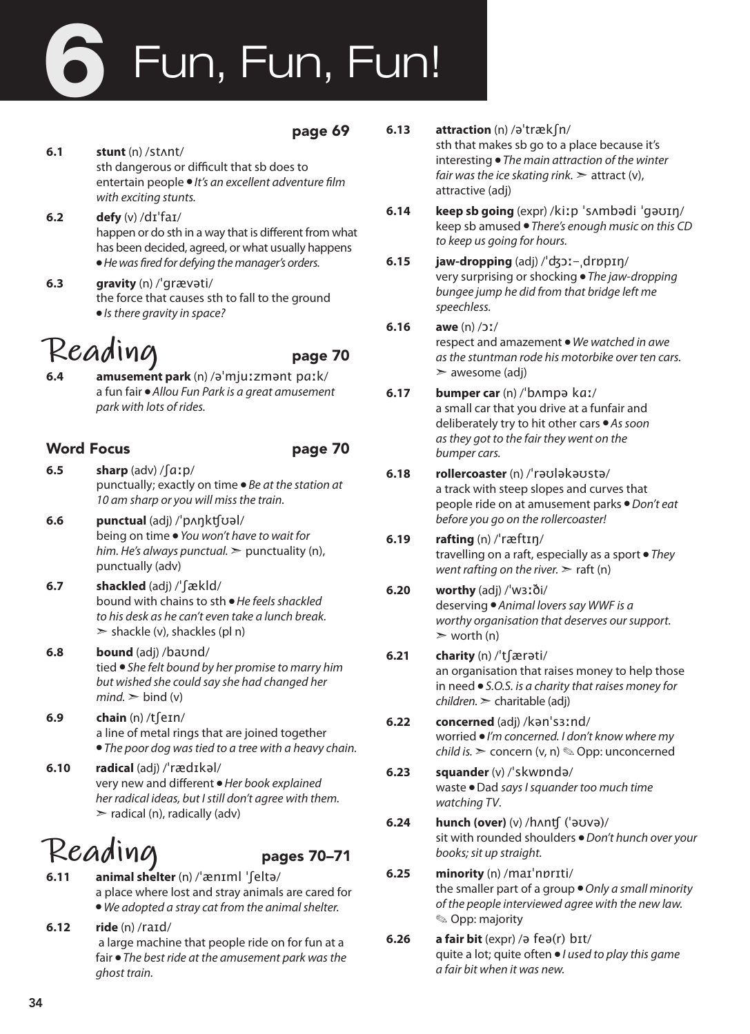# Fun, Fun, Fun! 6

### page 69

- **6.1 stunt** (n) /stʌnt/ sth dangerous or difficult that sb does to entertain people ● *It's an excellent adventure film with exciting stunts.*
- **6.2 defy** (v) /dɪˈfaɪ/ happen or do sth in a way that is different from what has been decided, agreed, or what usually happens ● *He was fired for defying the manager's orders.*
- **6.3 gravity** (n) /ˈɡrævəti/ the force that causes sth to fall to the ground ● *Is there gravity in space?*

### Reading page 70

**6.4 amusement park** (n) /əˈmjuːzmənt pɑːk/ a fun fair ● *Allou Fun Park is a great amusement park with lots of rides.* 

### Word Focus **page 70**

- 
- **6.5 sharp** (adv) /ʃɑːp/ punctually; exactly on time ● *Be at the station at 10 am sharp or you will miss the train.*
- **6.6 punctual** (adj) /ˈpʌŋkʧʊəl/ being on time ● *You won't have to wait for him. He's always punctual.* ➣ punctuality (n), punctually (adv)
- **6.7 shackled** (adj) /ˈʃækld/ bound with chains to sth ● *He feels shackled to his desk as he can't even take a lunch break.*   $\ge$  shackle (v), shackles (pl n)
- **6.8 bound** (adj) /baʊnd/ tied ● *She felt bound by her promise to marry him but wished she could say she had changed her*   $mind.$   $\geq$  bind (v)
- **6.9 chain** (n) /tʃeɪn/ a line of metal rings that are joined together ● *The poor dog was tied to a tree with a heavy chain.*
- **6.10 radical** (adj) /ˈrædɪkəl/ very new and different ● *Her book explained her radical ideas, but I still don't agree with them.*   $\triangleright$  radical (n), radically (adv)

## **Reading** pages 70–71

- **6.11 animal shelter** (n) /ˈænɪml ˈʃeltə/ a place where lost and stray animals are cared for ● *We adopted a stray cat from the animal shelter.*
- **6.12 ride** (n) /raɪd/ a large machine that people ride on for fun at a fair ● *The best ride at the amusement park was the ghost train.*
- **6.13 attraction** (n) /əˈtrækʃn/ sth that makes sb go to a place because it's interesting ● *The main attraction of the winter fair was the ice skating rink.*  $\geq$  attract (v), attractive (adj)
- **6.14 keep sb going** (expr) /kiːp ˈsʌmbədi ˈgəʊɪŋ/ keep sb amused ● *There's enough music on this CD to keep us going for hours.*
- **6.15 jaw-dropping** (adj) /ˈʤɔː-ˌdrɒpɪŋ/ very surprising or shocking ● *The jaw-dropping bungee jump he did from that bridge left me speechless.*
- **6.16 awe** (n) /ɔː/ respect and amazement ● *We watched in awe as the stuntman rode his motorbike over ten cars.*  ➣ awesome (adj)
- **6.17 bumper car** (n) /ˈbʌmpə kɑː/ a small car that you drive at a funfair and deliberately try to hit other cars ● *As soon as they got to the fair they went on the bumper cars.*
- **6.18 rollercoaster** (n) /ˈrəʊləkəʊstə/ a track with steep slopes and curves that people ride on at amusement parks ● *Don't eat before you go on the rollercoaster!*
- **6.19 rafting** (n) /ˈræftɪŋ/ travelling on a raft, especially as a sport ● *They went rafting on the river.*  $\geq$  raft (n)
- **6.20 worthy** (adj) /ˈwɜːði/ deserving ● *Animal lovers say WWF is a worthy organisation that deserves our support.*   $\triangleright$  worth (n)
- **6.21 charity** (n) /ˈtʃærəti/ an organisation that raises money to help those in need ● *S.O.S. is a charity that raises money for children.* ➣ charitable (adj)
- **6.22 concerned** (adj) /kənˈsɜːnd/ worried ● *I'm concerned. I don't know where my child is.* ➣ concern (v, n) ✎ Opp: unconcerned
- **6.23 squander** (v) /ˈskwɒndə/ waste ● Dad *says I squander too much time watching TV*.
- **6.24 hunch (over)** (v) /hʌnʧ (ˈəʊvə)/ sit with rounded shoulders ● *Don't hunch over your books; sit up straight.*
- **6.25 minority** (n) /maɪˈnɒrɪti/ the smaller part of a group ● *Only a small minority of the people interviewed agree with the new law.* ✎ Opp: majority
- **6.26 a fair bit** (expr) /ə feə(r) bɪt/ quite a lot; quite often ● *I used to play this game a fair bit when it was new.*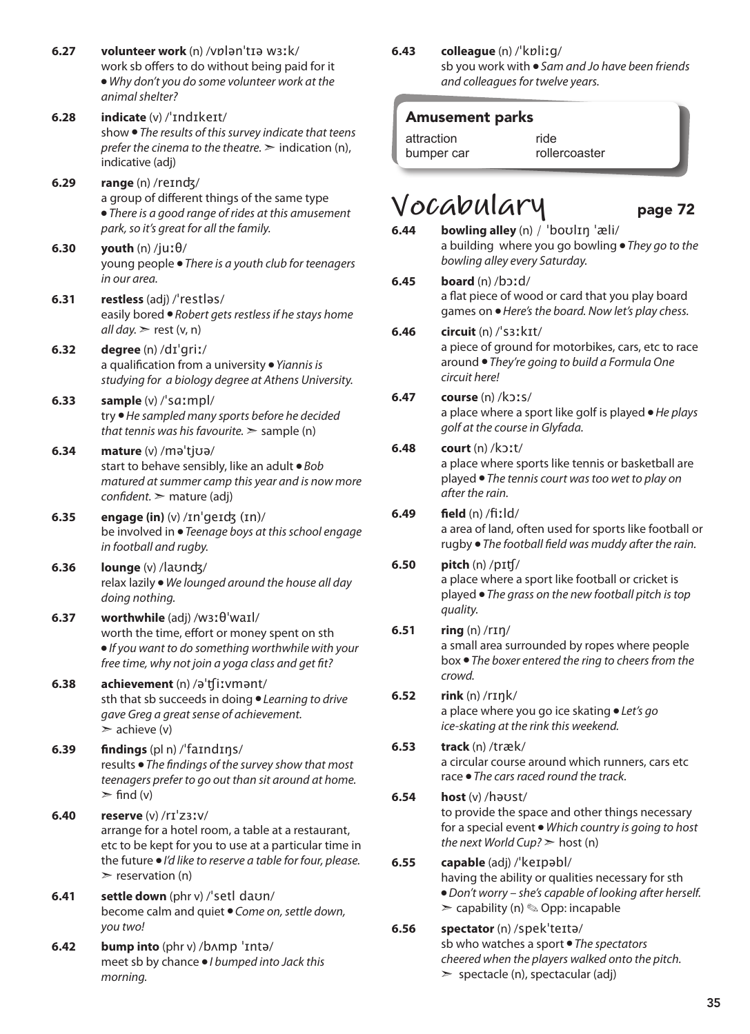- **6.27 volunteer work** (n) /vɒlənˈtɪə wɜːk/ work sb offers to do without being paid for it ● *Why don't you do some volunteer work at the animal shelter?*
- **6.28 indicate** (v) /ˈɪndɪkeɪt/ show ● *The results of this survey indicate that teens prefer the cinema to the theatre.* ➣ indication (n), indicative (adj)
- **6.29 range** (n) /reɪnʤ/ a group of different things of the same type ● *There is a good range of rides at this amusement park, so it's great for all the family.*
- **6.30 youth** (n) /juːθ/ young people ● *There is a youth club for teenagers in our area.*
- **6.31 restless** (adj) /ˈrestləs/ easily bored ● *Robert gets restless if he stays home*   $all$  day.  $\ge$  rest (v, n)
- **6.32 degree** (n) /dɪˈgriː/ a qualification from a university ● *Yiannis is studying for a biology degree at Athens University.*
- **6.33 sample** (v) /ˈsɑːmpl/ try ● *He sampled many sports before he decided that tennis was his favourite.* ➣ sample (n)
- **6.34 mature** (v) /məˈtjʊə/ start to behave sensibly, like an adult ● *Bob matured at summer camp this year and is now more confident.* ➣ mature (adj)
- **6.35 engage (in)** (v) /ɪnˈgeɪʤ (ɪn)/ be involved in ● *Teenage boys at this school engage in football and rugby.*
- **6.36 lounge** (v) /laʊnʤ/ relax lazily ● *We lounged around the house all day doing nothing.*
- **6.37 worthwhile** (adj) /wɜːθˈwaɪl/ worth the time, effort or money spent on sth ● *If you want to do something worthwhile with your free time, why not join a yoga class and get fit?*
- **6.38 achievement** (n) /əˈʧiːvmənt/ sth that sb succeeds in doing ● *Learning to drive gave Greg a great sense of achievement.*  $\geq$  achieve (v)
- **6.39 findings** (pl n) /ˈfaɪndɪŋs/ results ● *The findings of the survey show that most teenagers prefer to go out than sit around at home.*  $\triangleright$  find (v)
- **6.40 reserve** (v) /rɪˈzɜːv/ arrange for a hotel room, a table at a restaurant, etc to be kept for you to use at a particular time in the future ● *I'd like to reserve a table for four, please.*   $\triangleright$  reservation (n)
- **6.41 settle down** (phr v) /ˈsetl daʊn/ become calm and quiet ● *Come on, settle down, you two!*
- **6.42 bump into** (phr v) /bʌmp ˈɪntə/ meet sb by chance ● *I bumped into Jack this morning.*

**6.43 colleague** (n) /ˈkɒliːɡ/

sb you work with ● *Sam and Jo have been friends and colleagues for twelve years.*

### Amusement parks

attraction bumper car ride rollercoaster

- 
- $Vocabular$ <br>  $6.44$  bowling alley (n) / 'boulin 'æli/ **6.44 bowling alley** (n) / ˈboʊlɪŋ ˈæli/ a building where you go bowling ● *They go to the bowling alley every Saturday.*

### **6.45 board** (n) /bɔːd/ a flat piece of wood or card that you play board

games on ● *Here's the board. Now let's play chess.*

### **6.46 circuit** (n) /ˈsɜːkɪt/

a piece of ground for motorbikes, cars, etc to race around ● *They're going to build a Formula One circuit here!* 

### **6.47 course** (n) /kɔːs/

a place where a sport like golf is played ● *He plays golf at the course in Glyfada.*

### **6.48 court** (n) /kɔːt/

a place where sports like tennis or basketball are played ● *The tennis court was too wet to play on after the rain.*

### **6.49 field** (n) /fiːld/

a area of land, often used for sports like football or rugby ● *The football field was muddy after the rain.*

### **6.50 pitch** (n) /pɪʧ/

a place where a sport like football or cricket is played ● *The grass on the new football pitch is top quality.*

### **6.51 ring** (n) /rɪŋ/

a small area surrounded by ropes where people box ● *The boxer entered the ring to cheers from the crowd.*

### **6.52 rink** (n) /rɪŋk/

a place where you go ice skating ● *Let's go ice-skating at the rink this weekend.*

### **6.53 track** (n) /træk/ a circular course around which runners, cars etc race ● *The cars raced round the track.*

### **6.54 host** (v) /həʊst/

to provide the space and other things necessary for a special event ● *Which country is going to host the next World Cup?* ➣ host (n)

### **6.55 capable** (adj) /ˈkeɪpəbl/

having the ability or qualities necessary for sth ● *Don't worry – she's capable of looking after herself.*   $\geq$  capability (n)  $\otimes$  Opp: incapable

### **6.56 spectator** (n) /spekˈteɪtə/

sb who watches a sport ● *The spectators cheered when the players walked onto the pitch.*   $\ge$  spectacle (n), spectacular (adj)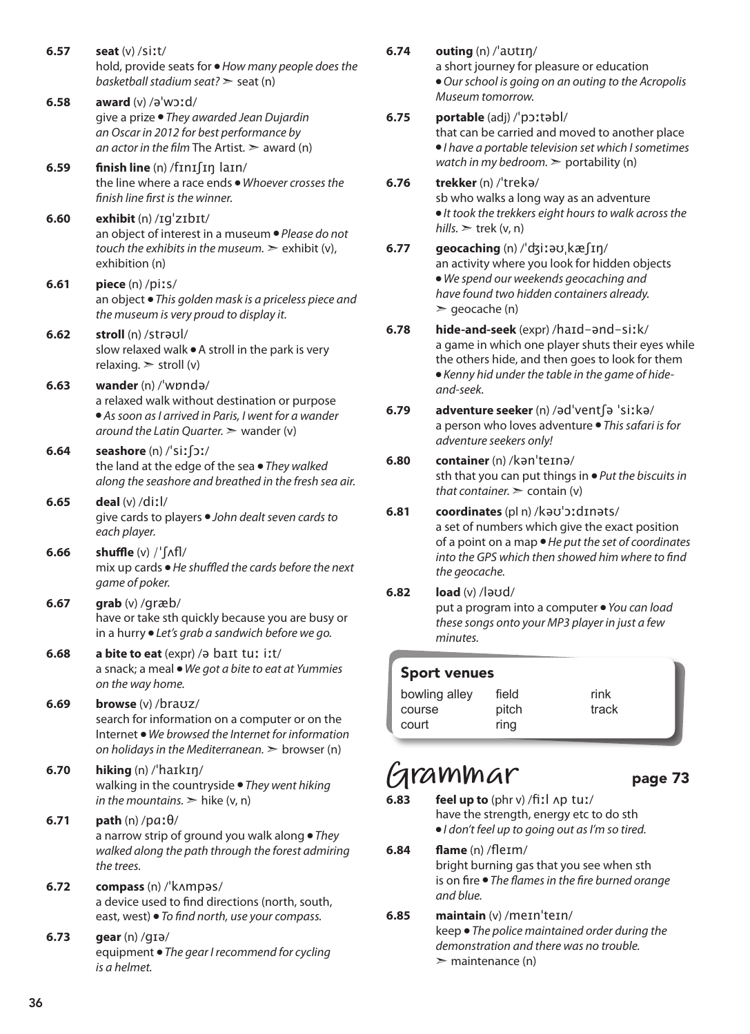**6.57 seat** (v) /siːt/ hold, provide seats for ● *How many people does the basketball stadium seat?* ➣ seat (n) **6.58 award** (v) /əˈwɔːd/ give a prize ● *They awarded Jean Dujardin an Oscar in 2012 for best performance by an actor in the film* The Artist.  $\geq$  award (n) **6.59 finish line** (n) /fɪnɪʃɪŋ laɪn/ the line where a race ends ● *Whoever crosses the finish line first is the winner.*  **6.60 exhibit** (n) /ɪgˈzɪbɪt/ an object of interest in a museum ● *Please do not touch the exhibits in the museum.*  $\geq$  exhibit (v). exhibition (n) **6.61 piece** (n) /piːs/ an object ● *This golden mask is a priceless piece and the museum is very proud to display it.*  **6.62 stroll** (n) /strəʊl/ slow relaxed walk ● A stroll in the park is very relaxing.  $>$  stroll (v) **6.63 wander** (n) /ˈwɒndə/ a relaxed walk without destination or purpose ● *As soon as I arrived in Paris, I went for a wander around the Latin Quarter.* ➣ wander (v) **6.64 seashore** (n) /ˈsiːʃɔː/ the land at the edge of the sea ● *They walked along the seashore and breathed in the fresh sea air.*  **6.65 deal** (v) /diːl/ give cards to players ● *John dealt seven cards to each player.*  **6.66 shuffle** (v) /ˈʃʌfl/ mix up cards ● *He shuffled the cards before the next game of poker.*  **6.67 grab** (v) /ɡræb/ have or take sth quickly because you are busy or in a hurry ● *Let's grab a sandwich before we go.* **6.68 a bite to eat** (expr) /ə baɪt tuː iːt/ a snack; a meal ● *We got a bite to eat at Yummies on the way home.*  **6.69 browse** (v) /braʊz/ search for information on a computer or on the Internet ● *We browsed the Internet for information on holidays in the Mediterranean.* ➣ browser (n) **6.70 hiking** (n) /ˈhaɪkɪŋ/ walking in the countryside ● *They went hiking in the mountains.*  $\geq$  hike (v, n) **6.71 path** (n) /pɑːθ/ a narrow strip of ground you walk along ● *They walked along the path through the forest admiring the trees.*  **6.72 compass** (n) /ˈkʌmpəs/ a device used to find directions (north, south, east, west) ● *To find north, use your compass.*  **6.73 gear** (n) /gɪə/ equipment ● *The gear I recommend for cycling* 

#### **6.74 outing** (n) /ˈaʊtɪŋ/

a short journey for pleasure or education ● *Our school is going on an outing to the Acropolis Museum tomorrow.* 

### **6.75 portable** (adj) /ˈpɔːtəbl/

that can be carried and moved to another place ● *I have a portable television set which I sometimes watch in my bedroom.* ➣ portability (n)

### **6.76 trekker** (n) /ˈtrekə/

sb who walks a long way as an adventure ● *It took the trekkers eight hours to walk across the*   $hills.$   $\ge$  trek (v, n)

#### **6.77 geocaching** (n) /ˈʤiːəʊˌkæʃɪŋ/ an activity where you look for hidden objects ● *We spend our weekends geocaching and have found two hidden containers already.*  $\geq$  geocache (n)

- **6.78 hide-and-seek** (expr) /haɪd-ənd-siːk/ a game in which one player shuts their eyes while the others hide, and then goes to look for them ● *Kenny hid under the table in the game of hideand-seek.*
- **6.79 adventure seeker** (n) /ədˈventʃə ˈsiːkə/ a person who loves adventure ● *This safari is for adventure seekers only!*

### **6.80 container** (n) /kənˈteɪnə/

sth that you can put things in ● *Put the biscuits in that container.*  $\ge$  contain (v)

**6.81 coordinates** (pl n) /kəʊˈɔːdɪnəts/ a set of numbers which give the exact position of a point on a map ● *He put the set of coordinates into the GPS which then showed him where to find the geocache.*

### **6.82 load** (v) /ləʊd/ put a program into a computer ● *You can load*

*these songs onto your MP3 player in just a few minutes.* 

### Sport venues

| bowling alley | field | rink  |
|---------------|-------|-------|
| course        | pitch | track |
| court         | ring  |       |

### **Grammar** page 73

- **6.83 feel up to** (phr v) /fiːl ʌp tuː/ have the strength, energy etc to do sth ● *I don't feel up to going out as I'm so tired.*
- **6.84 flame** (n) /fleɪm/ bright burning gas that you see when sth is on fire ● *The flames in the fire burned orange and blue.*

#### **6.85 maintain** (v) /meɪnˈteɪn/ keep ● *The police maintained order during the demonstration and there was no trouble.*  $\geq$  maintenance (n)

*is a helmet.*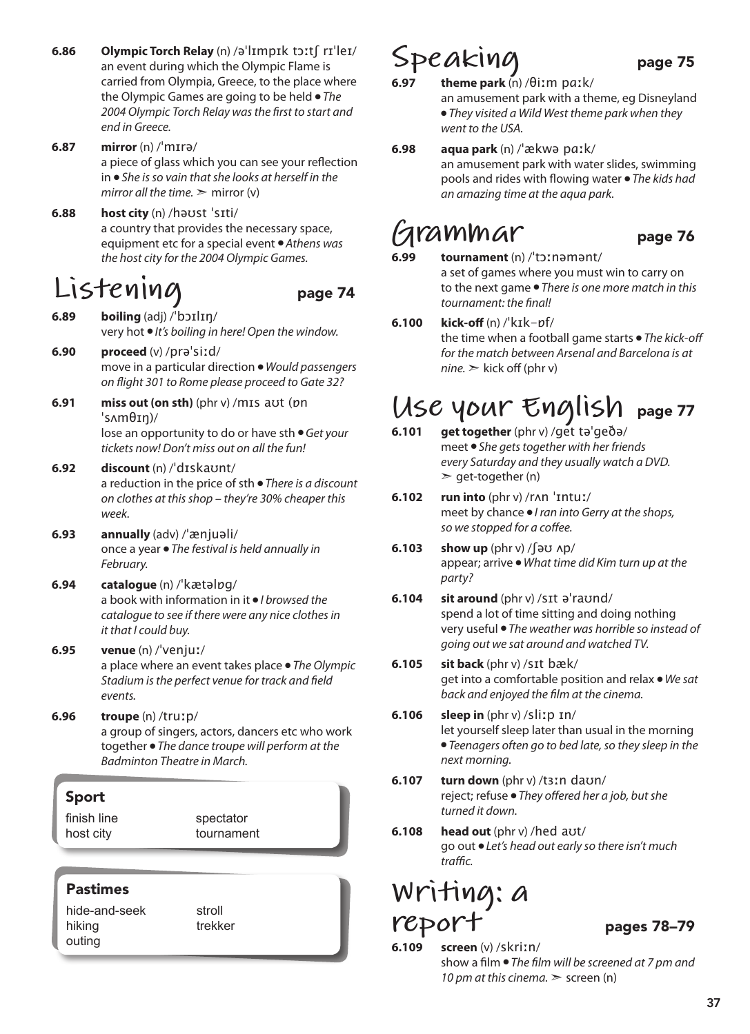- **6.86 Olympic Torch Relay** (n) /əˈlɪmpɪk tɔːtʃ rɪˈleɪ/ an event during which the Olympic Flame is carried from Olympia, Greece, to the place where the Olympic Games are going to be held ● *The 2004 Olympic Torch Relay was the first to start and end in Greece.*
- **6.87 mirror** (n) /ˈmɪrə/ a piece of glass which you can see your reflection in ● *She is so vain that she looks at herself in the mirror all the time.*  $\geq$  mirror (v)
- **6.88 host city** (n) /həʊst ˈsɪti/ a country that provides the necessary space, equipment etc for a special event ● *Athens was the host city for the 2004 Olympic Games.*

### **Listening** page 74

- 
- **6.89 boiling** (adj) /ˈbɔɪlɪŋ/ very hot ● *It's boiling in here! Open the window.*
- **6.90 proceed** (v) /prəˈsiːd/ move in a particular direction ● *Would passengers on flight 301 to Rome please proceed to Gate 32?*
- **6.91 miss out (on sth)** (phr v) /mɪs aʊt (ɒn ˈsʌmθɪŋ)/ lose an opportunity to do or have sth ● *Get your tickets now! Don't miss out on all the fun!*
- **6.92 discount** (n) /ˈdɪskaʊnt/ a reduction in the price of sth ● *There is a discount on clothes at this shop – they're 30% cheaper this week.*
- **6.93 annually** (adv) /ˈænjuəli/ once a year ● *The festival is held annually in February.*
- **6.94 catalogue** (n) /ˈkætəlɒg/ a book with information in it ● *I browsed the catalogue to see if there were any nice clothes in it that I could buy.*
- **6.95 venue** (n) /ˈvenjuː/ a place where an event takes place ● *The Olympic Stadium is the perfect venue for track and field events.*
- **6.96 troupe** (n) /truːp/ a group of singers, actors, dancers etc who work together ● *The dance troupe will perform at the Badminton Theatre in March.*

### Sport

finish line host city

spectator tournament

### Pastimes

hide-and-seek hiking outing

stroll trekker

## Speaking page 75

- **6.97 theme park** (n) /θiːm pɑːk/ an amusement park with a theme, eg Disneyland ● *They visited a Wild West theme park when they went to the USA.*
- **6.98 aqua park** (n) /ˈækwə pɑːk/ an amusement park with water slides, swimming pools and rides with flowing water ● *The kids had an amazing time at the aqua park.*

## **Grammar** page 76

**6.99 tournament** (n) /ˈtɔːnəmənt/ a set of games where you must win to carry on to the next game ● *There is one more match in this tournament: the final!*

### **6.100 kick-off** (n) /ˈkɪk-ɒf/

the time when a football game starts ● *The kick-off for the match between Arsenal and Barcelona is at*   $nine.$   $\geq$  kick off (phr v)

# **USE YOUT ENGLISH** page 77

- **6.101 get together** (phr v) /get təˈgeðə/ meet ● *She gets together with her friends every Saturday and they usually watch a DVD.*   $\ge$  get-together (n)
- **6.102 run into** (phr v) /rʌn ˈɪntuː/ meet by chance ● *I ran into Gerry at the shops, so we stopped for a coffee.*
- **6.103 show up** (phr v) /ʃəʊ ʌp/ appear; arrive ● *What time did Kim turn up at the party?*
- **6.104 sit around** (phr v) /sɪt əˈraʊnd/ spend a lot of time sitting and doing nothing very useful ● *The weather was horrible so instead of going out we sat around and watched TV.*
- **6.105 sit back** (phr v) /sɪt bæk/ get into a comfortable position and relax ● *We sat back and enjoyed the film at the cinema.*
- **6.106 sleep in** (phr v) /sliːp ɪn/ let yourself sleep later than usual in the morning ● *Teenagers often go to bed late, so they sleep in the next morning.*
- **6.107 turn down** (phr v) /tɜːn daʊn/ reject; refuse ● *They offered her a job, but she turned it down.*
- **6.108 head out** (phr v) /hed aʊt/ go out ● *Let's head out early so there isn't much traffic.*

### **Writing: a report** pages 78–79

**6.109 screen** (v) /skriːn/ show a film ● *The film will be screened at 7 pm and 10 pm at this cinema.*  $\ge$  screen (n)